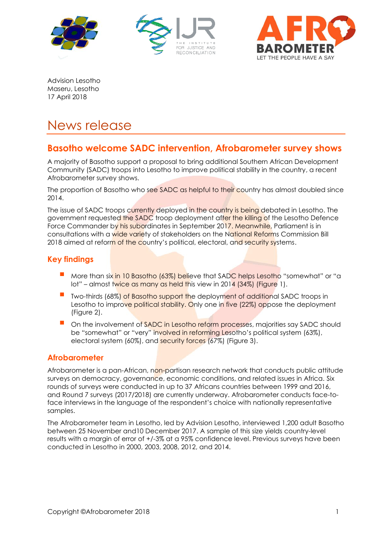





Advision Lesotho Maseru, Lesotho 17 April 2018

# News release

## **Basotho welcome SADC intervention, Afrobarometer survey shows**

A majority of Basotho support a proposal to bring additional Southern African Development Community (SADC) troops into Lesotho to improve political stability in the country, a recent Afrobarometer survey shows.

The proportion of Basotho who see SADC as helpful to their country has almost doubled since 2014.

The issue of SADC troops currently deployed in the country is being debated in Lesotho. The government requested the SADC troop deployment after the killing of the Lesotho Defence Force Commander by his subordinates in September 2017. Meanwhile, Parliament is in consultations with a wide variety of stakeholders on the National Reforms Commission Bill 2018 aimed at reform of the country's political, electoral, and security systems.

## **Key findings**

- More than six in 10 Basotho (63%) believe that SADC helps Lesotho "somewhat" or "a lot" – almost twice as many as held this view in 2014 (34%) (Figure 1).
- Two-thirds (68%) of Basotho support the deployment of additional SADC troops in Lesotho to improve political stability. Only one in five (22%) oppose the deployment (Figure 2).
- On the involvement of SADC in Lesotho reform processes, majorities say SADC should be "somewhat" or "very" involved in reforming Lesotho's political system (63%), electoral system (60%), and security forces (67%) (Figure 3).

## **Afrobarometer**

Afrobarometer is a pan-African, non-partisan research network that conducts public attitude surveys on democracy, governance, economic conditions, and related issues in Africa. Six rounds of surveys were conducted in up to 37 Africans countries between 1999 and 2016, and Round 7 surveys (2017/2018) are currently underway. Afrobarometer conducts face-toface interviews in the language of the respondent's choice with nationally representative samples.

The Afrobarometer team in Lesotho, led by Advision Lesotho, interviewed 1,200 adult Basotho between 25 November and10 December 2017. A sample of this size yields country-level results with a margin of error of +/-3% at a 95% confidence level. Previous surveys have been conducted in Lesotho in 2000, 2003, 2008, 2012, and 2014.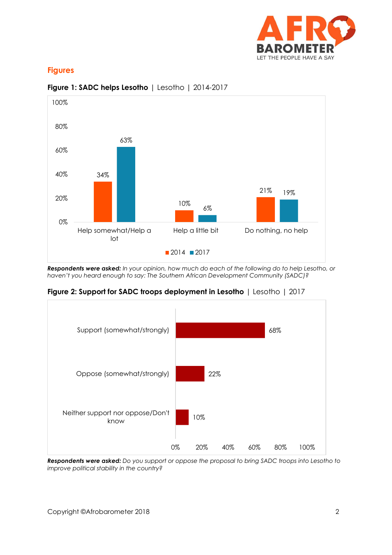

### **Figures**



#### **Figure 1: SADC helps Lesotho** | Lesotho | 2014-2017

*Respondents were asked: In your opinion, how much do each of the following do to help Lesotho, or haven't you heard enough to say: The Southern African Development Community (SADC)?*

**Figure 2: Support for SADC troops deployment in Lesotho** | Lesotho | 2017



*Respondents were asked: Do you support or oppose the proposal to bring SADC troops into Lesotho to improve political stability in the country?*